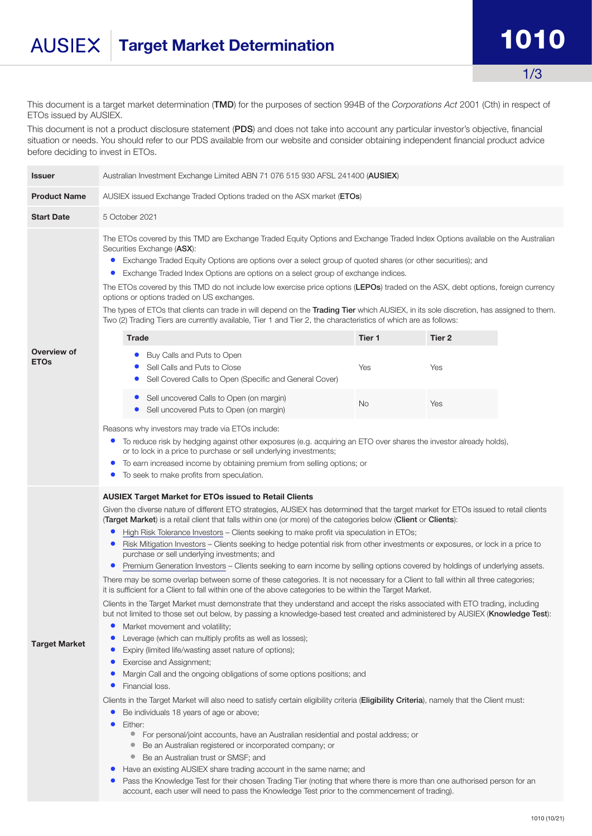## Target Market Determination and the 1010 **AUSIEX**

1/3

This document is a target market determination (TMD) for the purposes of section 994B of the *Corporations Act* 2001 (Cth) in respect of ETOs issued by AUSIEX.

This document is not a product disclosure statement (PDS) and does not take into account any particular investor's objective, financial situation or needs. You should refer to our PDS available from our website and consider obtaining independent financial product advice before deciding to invest in ETOs.

| <b>Issuer</b>              | Australian Investment Exchange Limited ABN 71 076 515 930 AFSL 241400 (AUSIEX)                                                                                                                                                                                                                                                                                                                                                                                                                                                                                                                                                                                                                                                                                                                                                                                                                                                                                                                                                                                                                                                                                                                                                                                                                                                                                                                                                                                                                                                                                                                                                                                                                                                                                                                                                                                                                                                                                                                                                                                                                                                                                                                                                                                                                                                                                                                                                   |           |        |  |  |  |
|----------------------------|----------------------------------------------------------------------------------------------------------------------------------------------------------------------------------------------------------------------------------------------------------------------------------------------------------------------------------------------------------------------------------------------------------------------------------------------------------------------------------------------------------------------------------------------------------------------------------------------------------------------------------------------------------------------------------------------------------------------------------------------------------------------------------------------------------------------------------------------------------------------------------------------------------------------------------------------------------------------------------------------------------------------------------------------------------------------------------------------------------------------------------------------------------------------------------------------------------------------------------------------------------------------------------------------------------------------------------------------------------------------------------------------------------------------------------------------------------------------------------------------------------------------------------------------------------------------------------------------------------------------------------------------------------------------------------------------------------------------------------------------------------------------------------------------------------------------------------------------------------------------------------------------------------------------------------------------------------------------------------------------------------------------------------------------------------------------------------------------------------------------------------------------------------------------------------------------------------------------------------------------------------------------------------------------------------------------------------------------------------------------------------------------------------------------------------|-----------|--------|--|--|--|
| <b>Product Name</b>        | AUSIEX issued Exchange Traded Options traded on the ASX market (ETOs)                                                                                                                                                                                                                                                                                                                                                                                                                                                                                                                                                                                                                                                                                                                                                                                                                                                                                                                                                                                                                                                                                                                                                                                                                                                                                                                                                                                                                                                                                                                                                                                                                                                                                                                                                                                                                                                                                                                                                                                                                                                                                                                                                                                                                                                                                                                                                            |           |        |  |  |  |
| <b>Start Date</b>          | 5 October 2021                                                                                                                                                                                                                                                                                                                                                                                                                                                                                                                                                                                                                                                                                                                                                                                                                                                                                                                                                                                                                                                                                                                                                                                                                                                                                                                                                                                                                                                                                                                                                                                                                                                                                                                                                                                                                                                                                                                                                                                                                                                                                                                                                                                                                                                                                                                                                                                                                   |           |        |  |  |  |
| Overview of<br><b>ETOs</b> | The ETOs covered by this TMD are Exchange Traded Equity Options and Exchange Traded Index Options available on the Australian<br>Securities Exchange (ASX):<br>Exchange Traded Equity Options are options over a select group of quoted shares (or other securities); and<br>$\bullet$<br>Exchange Traded Index Options are options on a select group of exchange indices.<br>$\bullet$<br>The ETOs covered by this TMD do not include low exercise price options (LEPOs) traded on the ASX, debt options, foreign currency<br>options or options traded on US exchanges.<br>The types of ETOs that clients can trade in will depend on the Trading Tier which AUSIEX, in its sole discretion, has assigned to them.<br>Two (2) Trading Tiers are currently available, Tier 1 and Tier 2, the characteristics of which are as follows:                                                                                                                                                                                                                                                                                                                                                                                                                                                                                                                                                                                                                                                                                                                                                                                                                                                                                                                                                                                                                                                                                                                                                                                                                                                                                                                                                                                                                                                                                                                                                                                           |           |        |  |  |  |
|                            | Trade                                                                                                                                                                                                                                                                                                                                                                                                                                                                                                                                                                                                                                                                                                                                                                                                                                                                                                                                                                                                                                                                                                                                                                                                                                                                                                                                                                                                                                                                                                                                                                                                                                                                                                                                                                                                                                                                                                                                                                                                                                                                                                                                                                                                                                                                                                                                                                                                                            | Tier 1    | Tier 2 |  |  |  |
|                            | Buy Calls and Puts to Open<br>$\bullet$<br>Sell Calls and Puts to Close<br>Sell Covered Calls to Open (Specific and General Cover)<br>$\bullet$                                                                                                                                                                                                                                                                                                                                                                                                                                                                                                                                                                                                                                                                                                                                                                                                                                                                                                                                                                                                                                                                                                                                                                                                                                                                                                                                                                                                                                                                                                                                                                                                                                                                                                                                                                                                                                                                                                                                                                                                                                                                                                                                                                                                                                                                                  | Yes       | Yes    |  |  |  |
|                            | • Sell uncovered Calls to Open (on margin)<br>Sell uncovered Puts to Open (on margin)                                                                                                                                                                                                                                                                                                                                                                                                                                                                                                                                                                                                                                                                                                                                                                                                                                                                                                                                                                                                                                                                                                                                                                                                                                                                                                                                                                                                                                                                                                                                                                                                                                                                                                                                                                                                                                                                                                                                                                                                                                                                                                                                                                                                                                                                                                                                            | <b>No</b> | Yes    |  |  |  |
|                            | Reasons why investors may trade via ETOs include:<br>To reduce risk by hedging against other exposures (e.g. acquiring an ETO over shares the investor already holds),<br>$\bullet$<br>or to lock in a price to purchase or sell underlying investments;<br>To earn increased income by obtaining premium from selling options; or<br>$\bullet$<br>To seek to make profits from speculation.                                                                                                                                                                                                                                                                                                                                                                                                                                                                                                                                                                                                                                                                                                                                                                                                                                                                                                                                                                                                                                                                                                                                                                                                                                                                                                                                                                                                                                                                                                                                                                                                                                                                                                                                                                                                                                                                                                                                                                                                                                     |           |        |  |  |  |
| <b>Target Market</b>       | <b>AUSIEX Target Market for ETOs issued to Retail Clients</b><br>Given the diverse nature of different ETO strategies, AUSIEX has determined that the target market for ETOs issued to retail clients<br>(Target Market) is a retail client that falls within one (or more) of the categories below (Client or Clients):<br>High Risk Tolerance Investors – Clients seeking to make profit via speculation in ETOs;<br>$\bullet$<br>Risk Mitigation Investors - Clients seeking to hedge potential risk from other investments or exposures, or lock in a price to<br>$\bullet$<br>purchase or sell underlying investments; and<br>Premium Generation Investors - Clients seeking to earn income by selling options covered by holdings of underlying assets.<br>$\bullet$<br>There may be some overlap between some of these categories. It is not necessary for a Client to fall within all three categories;<br>it is sufficient for a Client to fall within one of the above categories to be within the Target Market.<br>Clients in the Target Market must demonstrate that they understand and accept the risks associated with ETO trading, including<br>but not limited to those set out below, by passing a knowledge-based test created and administered by AUSIEX (Knowledge Test):<br>Market movement and volatility;<br>Leverage (which can multiply profits as well as losses);<br>$\bullet$<br>$\bullet$<br>Expiry (limited life/wasting asset nature of options);<br>Exercise and Assignment;<br>$\bullet$<br>Margin Call and the ongoing obligations of some options positions; and<br>$\bullet$<br>Financial loss.<br>$\bullet$<br>Clients in the Target Market will also need to satisfy certain eligibility criteria (Eligibility Criteria), namely that the Client must:<br>Be individuals 18 years of age or above;<br>$\bullet$<br>Either:<br>For personal/joint accounts, have an Australian residential and postal address; or<br>$\bullet$<br>Be an Australian registered or incorporated company; or<br>$\bullet$<br>Be an Australian trust or SMSF; and<br>$\bullet$<br>Have an existing AUSIEX share trading account in the same name; and<br>$\bullet$<br>Pass the Knowledge Test for their chosen Trading Tier (noting that where there is more than one authorised person for an<br>$\bullet$<br>account, each user will need to pass the Knowledge Test prior to the commencement of trading). |           |        |  |  |  |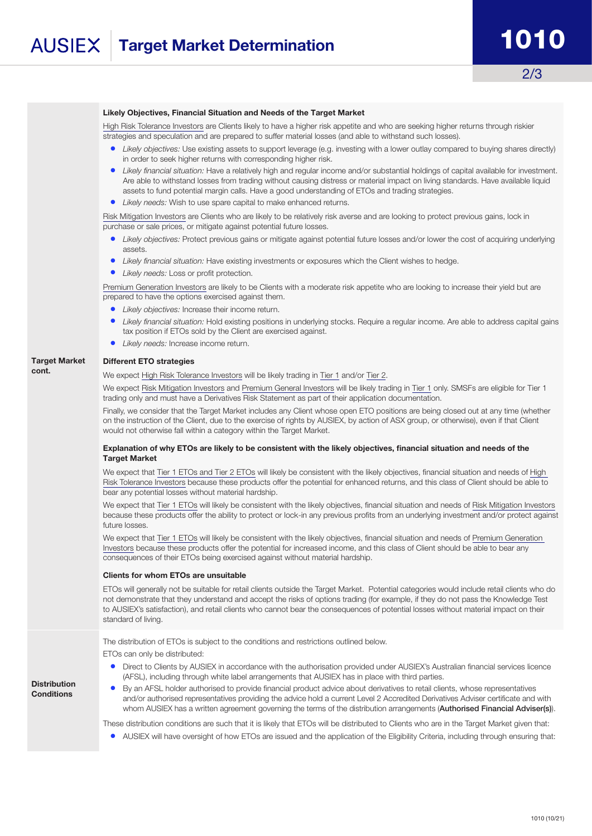#### Likely Objectives, Financial Situation and Needs of the Target Market

High Risk Tolerance Investors are Clients likely to have a higher risk appetite and who are seeking higher returns through riskier strategies and speculation and are prepared to suffer material losses (and able to withstand such losses).

- *• Likely objectives:* Use existing assets to support leverage (e.g. investing with a lower outlay compared to buying shares directly) in order to seek higher returns with corresponding higher risk.
- *• Likely financial situation:* Have a relatively high and regular income and/or substantial holdings of capital available for investment. Are able to withstand losses from trading without causing distress or material impact on living standards. Have available liquid assets to fund potential margin calls. Have a good understanding of ETOs and trading strategies.
- *• Likely needs:* Wish to use spare capital to make enhanced returns.

Risk Mitigation Investors are Clients who are likely to be relatively risk averse and are looking to protect previous gains, lock in purchase or sale prices, or mitigate against potential future losses.

- *• Likely objectives:* Protect previous gains or mitigate against potential future losses and/or lower the cost of acquiring underlying assets.
- *• Likely financial situation:* Have existing investments or exposures which the Client wishes to hedge.
- *• Likely needs:* Loss or profit protection.

Premium Generation Investors are likely to be Clients with a moderate risk appetite who are looking to increase their yield but are prepared to have the options exercised against them.

- *• Likely objectives:* Increase their income return.
- *• Likely financial situation:* Hold existing positions in underlying stocks. Require a regular income. Are able to address capital gains tax position if ETOs sold by the Client are exercised against.
- *• Likely needs:* Increase income return.

#### Target Market Different ETO strategies

cont.

**Distribution Conditions** 

#### We expect High Risk Tolerance Investors will be likely trading in Tier 1 and/or Tier 2.

We expect Risk Mitigation Investors and Premium General Investors will be likely trading in Tier 1 only. SMSFs are eligible for Tier 1 trading only and must have a Derivatives Risk Statement as part of their application documentation.

Finally, we consider that the Target Market includes any Client whose open ETO positions are being closed out at any time (whether on the instruction of the Client, due to the exercise of rights by AUSIEX, by action of ASX group, or otherwise), even if that Client would not otherwise fall within a category within the Target Market.

#### Explanation of why ETOs are likely to be consistent with the likely objectives, financial situation and needs of the Target Market

We expect that Tier 1 ETOs and Tier 2 ETOs will likely be consistent with the likely objectives, financial situation and needs of High Risk Tolerance Investors because these products offer the potential for enhanced returns, and this class of Client should be able to bear any potential losses without material hardship.

We expect that Tier 1 ETOs will likely be consistent with the likely objectives, financial situation and needs of Risk Mitigation Investors because these products offer the ability to protect or lock-in any previous profits from an underlying investment and/or protect against future losses.

We expect that Tier 1 ETOs will likely be consistent with the likely objectives, financial situation and needs of Premium Generation Investors because these products offer the potential for increased income, and this class of Client should be able to bear any consequences of their ETOs being exercised against without material hardship.

#### Clients for whom ETOs are unsuitable

ETOs will generally not be suitable for retail clients outside the Target Market. Potential categories would include retail clients who do not demonstrate that they understand and accept the risks of options trading (for example, if they do not pass the Knowledge Test to AUSIEX's satisfaction), and retail clients who cannot bear the consequences of potential losses without material impact on their standard of living.

The distribution of ETOs is subject to the conditions and restrictions outlined below.

ETOs can only be distributed:

- Direct to Clients by AUSIEX in accordance with the authorisation provided under AUSIEX's Australian financial services licence (AFSL), including through white label arrangements that AUSIEX has in place with third parties.
- By an AFSL holder authorised to provide financial product advice about derivatives to retail clients, whose representatives and/or authorised representatives providing the advice hold a current Level 2 Accredited Derivatives Adviser certificate and with whom AUSIEX has a written agreement governing the terms of the distribution arrangements (Authorised Financial Adviser(s)).

These distribution conditions are such that it is likely that ETOs will be distributed to Clients who are in the Target Market given that:

• AUSIEX will have oversight of how ETOs are issued and the application of the Eligibility Criteria, including through ensuring that: